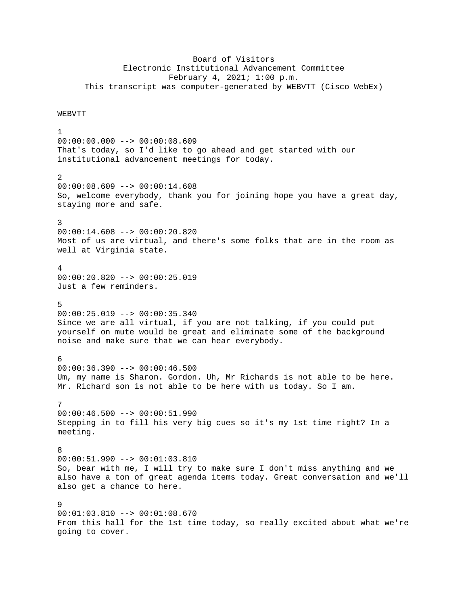## Board of Visitors Electronic Institutional Advancement Committee February 4, 2021; 1:00 p.m. This transcript was computer-generated by WEBVTT (Cisco WebEx)

## WEBVTT

1 00:00:00.000 --> 00:00:08.609 That's today, so I'd like to go ahead and get started with our institutional advancement meetings for today. 2  $00:00:08.609$  -->  $00:00:14.608$ So, welcome everybody, thank you for joining hope you have a great day, staying more and safe. 3 00:00:14.608 --> 00:00:20.820 Most of us are virtual, and there's some folks that are in the room as well at Virginia state. 4 00:00:20.820 --> 00:00:25.019 Just a few reminders. 5 00:00:25.019 --> 00:00:35.340 Since we are all virtual, if you are not talking, if you could put yourself on mute would be great and eliminate some of the background noise and make sure that we can hear everybody. 6 00:00:36.390 --> 00:00:46.500 Um, my name is Sharon. Gordon. Uh, Mr Richards is not able to be here. Mr. Richard son is not able to be here with us today. So I am. 7  $00:00:46.500$  -->  $00:00:51.990$ Stepping in to fill his very big cues so it's my 1st time right? In a meeting. 8 00:00:51.990 --> 00:01:03.810 So, bear with me, I will try to make sure I don't miss anything and we also have a ton of great agenda items today. Great conversation and we'll also get a chance to here. 9 00:01:03.810 --> 00:01:08.670 From this hall for the 1st time today, so really excited about what we're going to cover.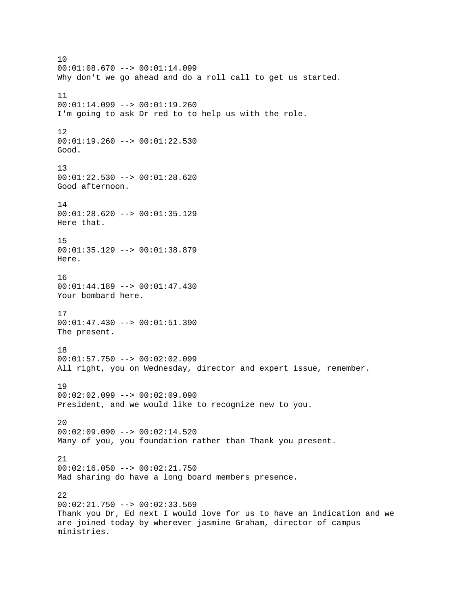10  $00:01:08.670$  -->  $00:01:14.099$ Why don't we go ahead and do a roll call to get us started. 11 00:01:14.099 --> 00:01:19.260 I'm going to ask Dr red to to help us with the role. 12 00:01:19.260 --> 00:01:22.530 Good. 13 00:01:22.530 --> 00:01:28.620 Good afternoon. 14 00:01:28.620 --> 00:01:35.129 Here that. 15 00:01:35.129 --> 00:01:38.879 Here. 16 00:01:44.189 --> 00:01:47.430 Your bombard here. 17 00:01:47.430 --> 00:01:51.390 The present. 18  $00:01:57.750$  -->  $00:02:02.099$ All right, you on Wednesday, director and expert issue, remember. 19 00:02:02.099 --> 00:02:09.090 President, and we would like to recognize new to you.  $20$ 00:02:09.090 --> 00:02:14.520 Many of you, you foundation rather than Thank you present. 21 00:02:16.050 --> 00:02:21.750 Mad sharing do have a long board members presence. 22 00:02:21.750 --> 00:02:33.569 Thank you Dr, Ed next I would love for us to have an indication and we are joined today by wherever jasmine Graham, director of campus ministries.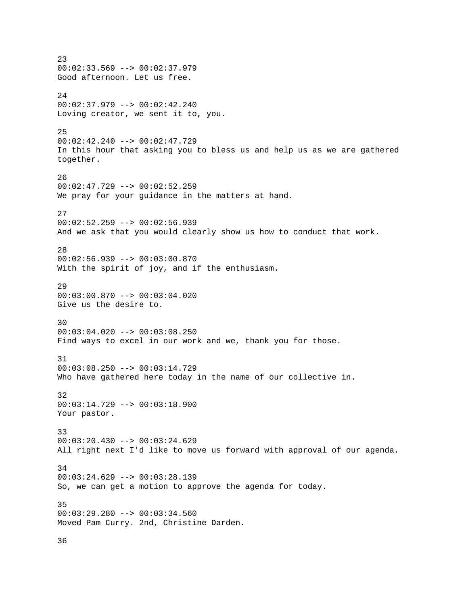23  $00:02:33.569$  -->  $00:02:37.979$ Good afternoon. Let us free. 24 00:02:37.979 --> 00:02:42.240 Loving creator, we sent it to, you. 25 00:02:42.240 --> 00:02:47.729 In this hour that asking you to bless us and help us as we are gathered together. 26  $00:02:47.729$  -->  $00:02:52.259$ We pray for your guidance in the matters at hand. 27 00:02:52.259 --> 00:02:56.939 And we ask that you would clearly show us how to conduct that work. 28 00:02:56.939 --> 00:03:00.870 With the spirit of joy, and if the enthusiasm. 29 00:03:00.870 --> 00:03:04.020 Give us the desire to. 30 00:03:04.020 --> 00:03:08.250 Find ways to excel in our work and we, thank you for those. 31 00:03:08.250 --> 00:03:14.729 Who have gathered here today in the name of our collective in. 32 00:03:14.729 --> 00:03:18.900 Your pastor. 33 00:03:20.430 --> 00:03:24.629 All right next I'd like to move us forward with approval of our agenda. 34 00:03:24.629 --> 00:03:28.139 So, we can get a motion to approve the agenda for today. 35 00:03:29.280 --> 00:03:34.560 Moved Pam Curry. 2nd, Christine Darden.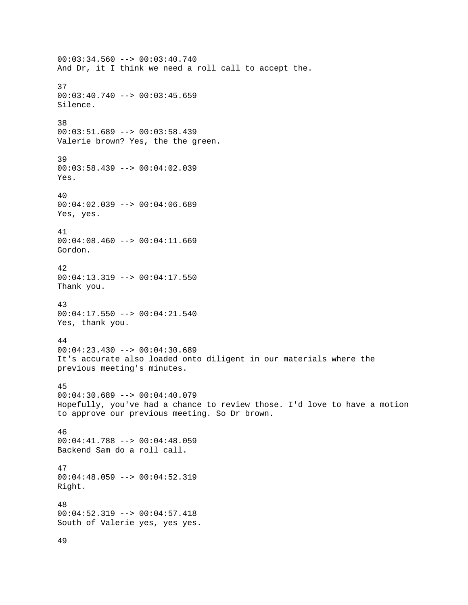00:03:34.560 --> 00:03:40.740 And Dr, it I think we need a roll call to accept the. 37  $00:03:40.740$  -->  $00:03:45.659$ Silence. 38 00:03:51.689 --> 00:03:58.439 Valerie brown? Yes, the the green. 39 00:03:58.439 --> 00:04:02.039 Yes. 40 00:04:02.039 --> 00:04:06.689 Yes, yes. 41  $00:04:08.460$  -->  $00:04:11.669$ Gordon. 42 00:04:13.319 --> 00:04:17.550 Thank you. 43 00:04:17.550 --> 00:04:21.540 Yes, thank you. 44 00:04:23.430 --> 00:04:30.689 It's accurate also loaded onto diligent in our materials where the previous meeting's minutes. 45 00:04:30.689 --> 00:04:40.079 Hopefully, you've had a chance to review those. I'd love to have a motion to approve our previous meeting. So Dr brown. 46 00:04:41.788 --> 00:04:48.059 Backend Sam do a roll call. 47 00:04:48.059 --> 00:04:52.319 Right. 48 00:04:52.319 --> 00:04:57.418 South of Valerie yes, yes yes. 49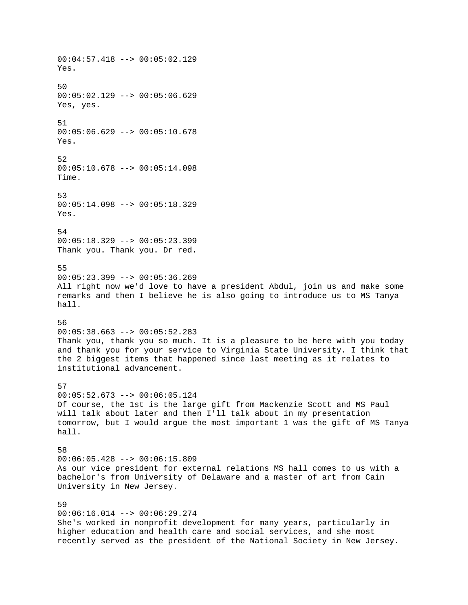00:04:57.418 --> 00:05:02.129 Yes. 50 00:05:02.129 --> 00:05:06.629 Yes, yes. 51  $00:05:06.629$  -->  $00:05:10.678$ Yes. 52 00:05:10.678 --> 00:05:14.098 Time. 53 00:05:14.098 --> 00:05:18.329 Yes. 54 00:05:18.329 --> 00:05:23.399 Thank you. Thank you. Dr red. 55 00:05:23.399 --> 00:05:36.269 All right now we'd love to have a president Abdul, join us and make some remarks and then I believe he is also going to introduce us to MS Tanya hall. 56 00:05:38.663 --> 00:05:52.283 Thank you, thank you so much. It is a pleasure to be here with you today and thank you for your service to Virginia State University. I think that the 2 biggest items that happened since last meeting as it relates to institutional advancement. 57 00:05:52.673 --> 00:06:05.124 Of course, the 1st is the large gift from Mackenzie Scott and MS Paul will talk about later and then I'll talk about in my presentation tomorrow, but I would argue the most important 1 was the gift of MS Tanya hall. 58 00:06:05.428 --> 00:06:15.809 As our vice president for external relations MS hall comes to us with a bachelor's from University of Delaware and a master of art from Cain University in New Jersey. 59 00:06:16.014 --> 00:06:29.274 She's worked in nonprofit development for many years, particularly in higher education and health care and social services, and she most recently served as the president of the National Society in New Jersey.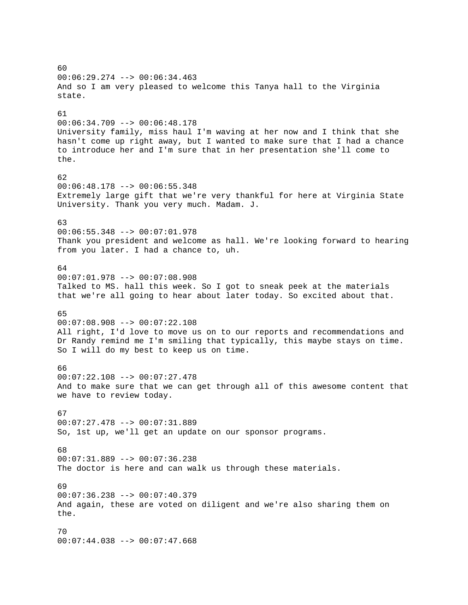60 00:06:29.274 --> 00:06:34.463 And so I am very pleased to welcome this Tanya hall to the Virginia state. 61 00:06:34.709 --> 00:06:48.178 University family, miss haul I'm waving at her now and I think that she hasn't come up right away, but I wanted to make sure that I had a chance to introduce her and I'm sure that in her presentation she'll come to the. 62 00:06:48.178 --> 00:06:55.348 Extremely large gift that we're very thankful for here at Virginia State University. Thank you very much. Madam. J. 63 00:06:55.348 --> 00:07:01.978 Thank you president and welcome as hall. We're looking forward to hearing from you later. I had a chance to, uh. 64 00:07:01.978 --> 00:07:08.908 Talked to MS. hall this week. So I got to sneak peek at the materials that we're all going to hear about later today. So excited about that. 65 00:07:08.908 --> 00:07:22.108 All right, I'd love to move us on to our reports and recommendations and Dr Randy remind me I'm smiling that typically, this maybe stays on time. So I will do my best to keep us on time. 66 00:07:22.108 --> 00:07:27.478 And to make sure that we can get through all of this awesome content that we have to review today. 67 00:07:27.478 --> 00:07:31.889 So, 1st up, we'll get an update on our sponsor programs. 68  $00:07:31.889$  -->  $00:07:36.238$ The doctor is here and can walk us through these materials. 69 00:07:36.238 --> 00:07:40.379 And again, these are voted on diligent and we're also sharing them on the. 70 00:07:44.038 --> 00:07:47.668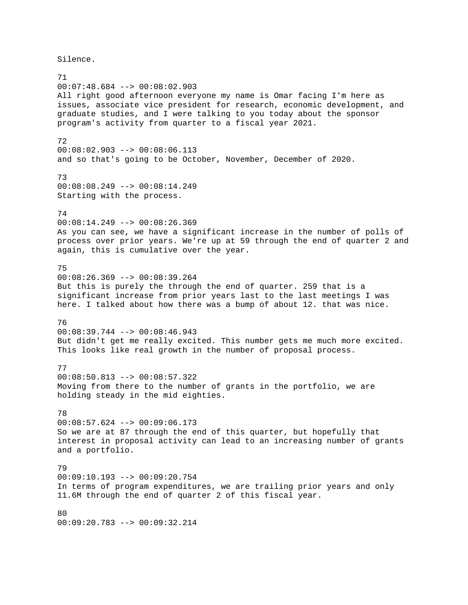Silence.

71 00:07:48.684 --> 00:08:02.903 All right good afternoon everyone my name is Omar facing I'm here as issues, associate vice president for research, economic development, and graduate studies, and I were talking to you today about the sponsor program's activity from quarter to a fiscal year 2021. 72 00:08:02.903 --> 00:08:06.113 and so that's going to be October, November, December of 2020. 73 00:08:08.249 --> 00:08:14.249 Starting with the process. 74 00:08:14.249 --> 00:08:26.369 As you can see, we have a significant increase in the number of polls of process over prior years. We're up at 59 through the end of quarter 2 and again, this is cumulative over the year. 75 00:08:26.369 --> 00:08:39.264 But this is purely the through the end of quarter. 259 that is a significant increase from prior years last to the last meetings I was here. I talked about how there was a bump of about 12. that was nice. 76 00:08:39.744 --> 00:08:46.943 But didn't get me really excited. This number gets me much more excited. This looks like real growth in the number of proposal process. 77  $00:08:50.813$  -->  $00:08:57.322$ Moving from there to the number of grants in the portfolio, we are holding steady in the mid eighties. 78  $00:08:57.624$  -->  $00:09:06.173$ So we are at 87 through the end of this quarter, but hopefully that interest in proposal activity can lead to an increasing number of grants and a portfolio. 79 00:09:10.193 --> 00:09:20.754 In terms of program expenditures, we are trailing prior years and only 11.6M through the end of quarter 2 of this fiscal year. 80 00:09:20.783 --> 00:09:32.214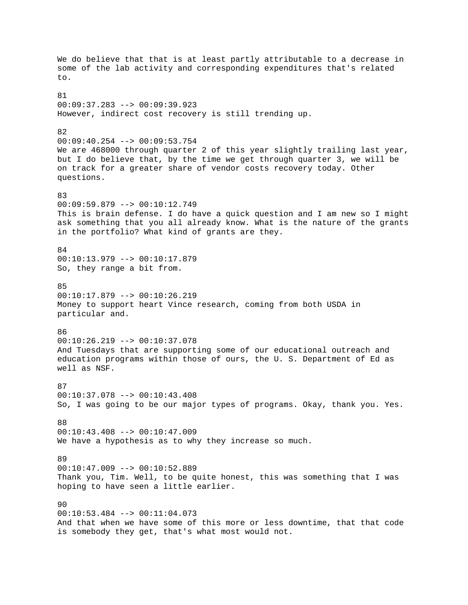We do believe that that is at least partly attributable to a decrease in some of the lab activity and corresponding expenditures that's related to. 81 00:09:37.283 --> 00:09:39.923 However, indirect cost recovery is still trending up. 82 00:09:40.254 --> 00:09:53.754 We are 468000 through quarter 2 of this year slightly trailing last year, but I do believe that, by the time we get through quarter 3, we will be on track for a greater share of vendor costs recovery today. Other questions. 83 00:09:59.879 --> 00:10:12.749 This is brain defense. I do have a quick question and I am new so I might ask something that you all already know. What is the nature of the grants in the portfolio? What kind of grants are they. 84 00:10:13.979 --> 00:10:17.879 So, they range a bit from. 85  $00:10:17.879$  -->  $00:10:26.219$ Money to support heart Vince research, coming from both USDA in particular and. 86 00:10:26.219 --> 00:10:37.078 And Tuesdays that are supporting some of our educational outreach and education programs within those of ours, the U. S. Department of Ed as well as NSF. **87** 00:10:37.078 --> 00:10:43.408 So, I was going to be our major types of programs. Okay, thank you. Yes. 88  $00:10:43.408$  -->  $00:10:47.009$ We have a hypothesis as to why they increase so much. 89 00:10:47.009 --> 00:10:52.889 Thank you, Tim. Well, to be quite honest, this was something that I was hoping to have seen a little earlier. 90 00:10:53.484 --> 00:11:04.073 And that when we have some of this more or less downtime, that that code is somebody they get, that's what most would not.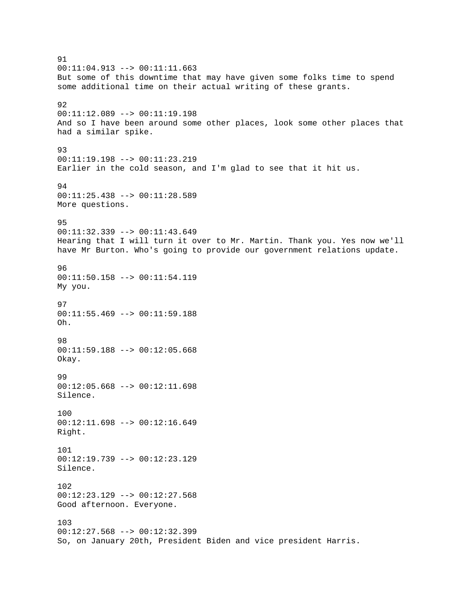91  $00:11:04.913$  -->  $00:11:11.663$ But some of this downtime that may have given some folks time to spend some additional time on their actual writing of these grants. 92 00:11:12.089 --> 00:11:19.198 And so I have been around some other places, look some other places that had a similar spike. 93 00:11:19.198 --> 00:11:23.219 Earlier in the cold season, and I'm glad to see that it hit us. 94 00:11:25.438 --> 00:11:28.589 More questions. 95 00:11:32.339 --> 00:11:43.649 Hearing that I will turn it over to Mr. Martin. Thank you. Yes now we'll have Mr Burton. Who's going to provide our government relations update. 96 00:11:50.158 --> 00:11:54.119 My you. 97 00:11:55.469 --> 00:11:59.188 Oh. 98 00:11:59.188 --> 00:12:05.668 Okay. 99 00:12:05.668 --> 00:12:11.698 Silence. 100 00:12:11.698 --> 00:12:16.649 Right. 101 00:12:19.739 --> 00:12:23.129 Silence. 102 00:12:23.129 --> 00:12:27.568 Good afternoon. Everyone. 103 00:12:27.568 --> 00:12:32.399 So, on January 20th, President Biden and vice president Harris.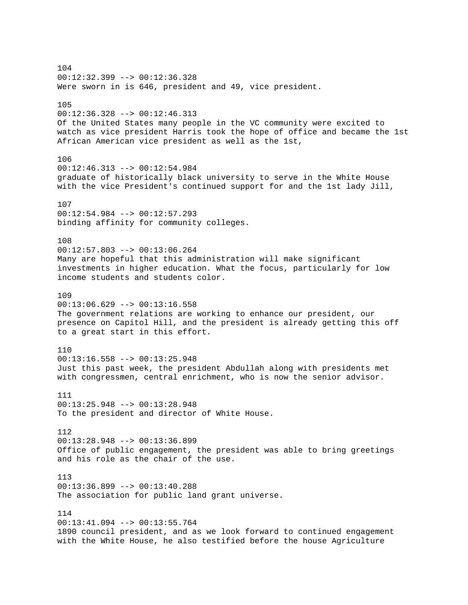104 00:12:32.399 --> 00:12:36.328 Were sworn in is 646, president and 49, vice president. 105 00:12:36.328 --> 00:12:46.313 Of the United States many people in the VC community were excited to watch as vice president Harris took the hope of office and became the 1st African American vice president as well as the 1st, 106 00:12:46.313 --> 00:12:54.984 graduate of historically black university to serve in the White House with the vice President's continued support for and the 1st lady Jill, 107 00:12:54.984 --> 00:12:57.293 binding affinity for community colleges. 108  $00:12:57.803$  -->  $00:13:06.264$ Many are hopeful that this administration will make significant investments in higher education. What the focus, particularly for low income students and students color. 109  $00:13:06.629$  -->  $00:13:16.558$ The government relations are working to enhance our president, our presence on Capitol Hill, and the president is already getting this off to a great start in this effort. 110  $00:13:16.558$  -->  $00:13:25.948$ Just this past week, the president Abdullah along with presidents met with congressmen, central enrichment, who is now the senior advisor. 111 00:13:25.948 --> 00:13:28.948 To the president and director of White House. 112 00:13:28.948 --> 00:13:36.899 Office of public engagement, the president was able to bring greetings and his role as the chair of the use. 113 00:13:36.899 --> 00:13:40.288 The association for public land grant universe. 114  $00:13:41.094$  -->  $00:13:55.764$ 1890 council president, and as we look forward to continued engagement with the White House, he also testified before the house Agriculture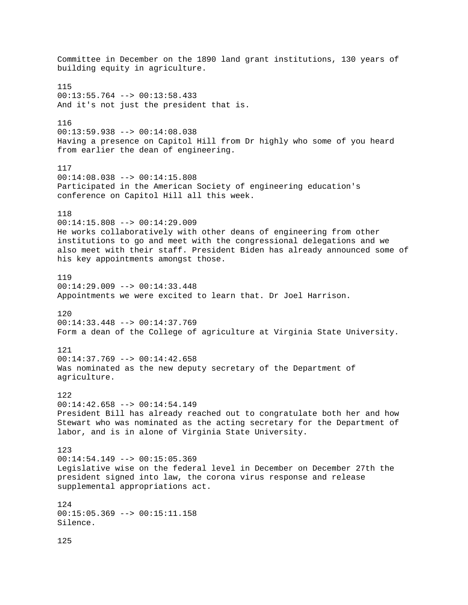Committee in December on the 1890 land grant institutions, 130 years of building equity in agriculture. 115  $00:13:55.764$  -->  $00:13:58.433$ And it's not just the president that is. 116 00:13:59.938 --> 00:14:08.038 Having a presence on Capitol Hill from Dr highly who some of you heard from earlier the dean of engineering. 117 00:14:08.038 --> 00:14:15.808 Participated in the American Society of engineering education's conference on Capitol Hill all this week. 118 00:14:15.808 --> 00:14:29.009 He works collaboratively with other deans of engineering from other institutions to go and meet with the congressional delegations and we also meet with their staff. President Biden has already announced some of his key appointments amongst those. 119 00:14:29.009 --> 00:14:33.448 Appointments we were excited to learn that. Dr Joel Harrison. 120 00:14:33.448 --> 00:14:37.769 Form a dean of the College of agriculture at Virginia State University. 121  $00:14:37.769$  -->  $00:14:42.658$ Was nominated as the new deputy secretary of the Department of agriculture. 122 00:14:42.658 --> 00:14:54.149 President Bill has already reached out to congratulate both her and how Stewart who was nominated as the acting secretary for the Department of labor, and is in alone of Virginia State University. 123  $00:14:54.149$  -->  $00:15:05.369$ Legislative wise on the federal level in December on December 27th the president signed into law, the corona virus response and release supplemental appropriations act. 124 00:15:05.369 --> 00:15:11.158 Silence. 125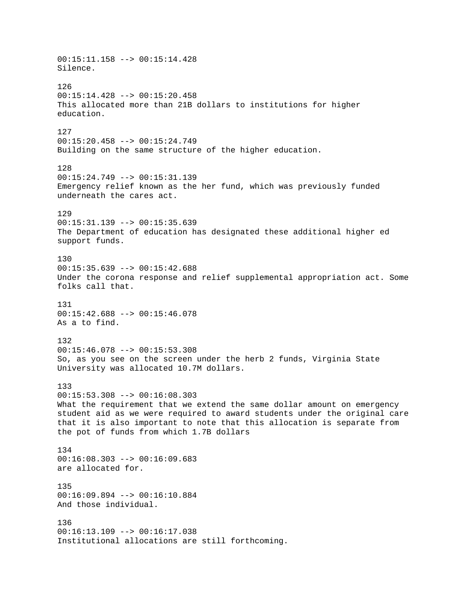00:15:11.158 --> 00:15:14.428 Silence. 126  $00:15:14.428$  -->  $00:15:20.458$ This allocated more than 21B dollars to institutions for higher education. 127 00:15:20.458 --> 00:15:24.749 Building on the same structure of the higher education. 128 00:15:24.749 --> 00:15:31.139 Emergency relief known as the her fund, which was previously funded underneath the cares act. 129 00:15:31.139 --> 00:15:35.639 The Department of education has designated these additional higher ed support funds. 130 00:15:35.639 --> 00:15:42.688 Under the corona response and relief supplemental appropriation act. Some folks call that. 131 00:15:42.688 --> 00:15:46.078 As a to find. 132 00:15:46.078 --> 00:15:53.308 So, as you see on the screen under the herb 2 funds, Virginia State University was allocated 10.7M dollars. 133 00:15:53.308 --> 00:16:08.303 What the requirement that we extend the same dollar amount on emergency student aid as we were required to award students under the original care that it is also important to note that this allocation is separate from the pot of funds from which 1.7B dollars 134  $00:16:08.303$  -->  $00:16:09.683$ are allocated for. 135 00:16:09.894 --> 00:16:10.884 And those individual. 136 00:16:13.109 --> 00:16:17.038 Institutional allocations are still forthcoming.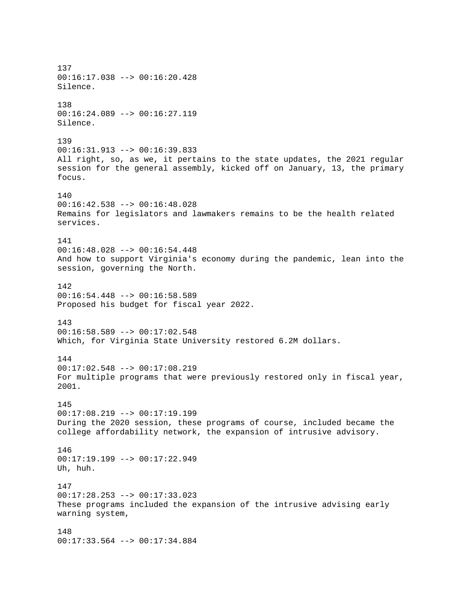137 00:16:17.038 --> 00:16:20.428 Silence. 138 00:16:24.089 --> 00:16:27.119 Silence. 139 00:16:31.913 --> 00:16:39.833 All right, so, as we, it pertains to the state updates, the 2021 regular session for the general assembly, kicked off on January, 13, the primary focus. 140 00:16:42.538 --> 00:16:48.028 Remains for legislators and lawmakers remains to be the health related services. 141 00:16:48.028 --> 00:16:54.448 And how to support Virginia's economy during the pandemic, lean into the session, governing the North. 142  $00:16:54.448$  -->  $00:16:58.589$ Proposed his budget for fiscal year 2022. 143 00:16:58.589 --> 00:17:02.548 Which, for Virginia State University restored 6.2M dollars. 144 00:17:02.548 --> 00:17:08.219 For multiple programs that were previously restored only in fiscal year, 2001. 145  $00:17:08.219$  -->  $00:17:19.199$ During the 2020 session, these programs of course, included became the college affordability network, the expansion of intrusive advisory. 146 00:17:19.199 --> 00:17:22.949 Uh, huh. 147 00:17:28.253 --> 00:17:33.023 These programs included the expansion of the intrusive advising early warning system, 148 00:17:33.564 --> 00:17:34.884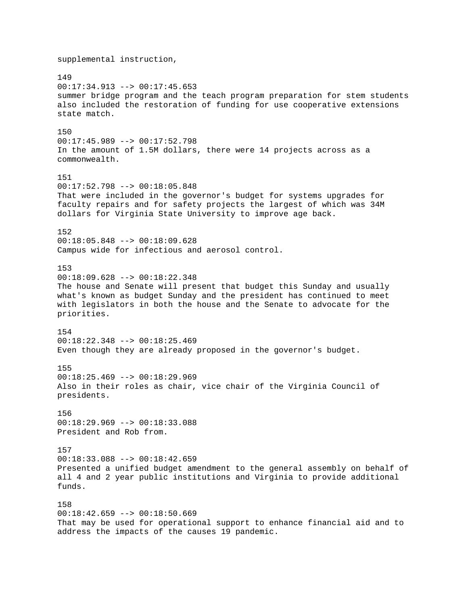supplemental instruction, 149 00:17:34.913 --> 00:17:45.653 summer bridge program and the teach program preparation for stem students also included the restoration of funding for use cooperative extensions state match. 150 00:17:45.989 --> 00:17:52.798 In the amount of 1.5M dollars, there were 14 projects across as a commonwealth. 151 00:17:52.798 --> 00:18:05.848 That were included in the governor's budget for systems upgrades for faculty repairs and for safety projects the largest of which was 34M dollars for Virginia State University to improve age back. 152 00:18:05.848 --> 00:18:09.628 Campus wide for infectious and aerosol control. 153 00:18:09.628 --> 00:18:22.348 The house and Senate will present that budget this Sunday and usually what's known as budget Sunday and the president has continued to meet with legislators in both the house and the Senate to advocate for the priorities. 154 00:18:22.348 --> 00:18:25.469 Even though they are already proposed in the governor's budget. 155  $00:18:25.469$  -->  $00:18:29.969$ Also in their roles as chair, vice chair of the Virginia Council of presidents. 156 00:18:29.969 --> 00:18:33.088 President and Rob from. 157 00:18:33.088 --> 00:18:42.659 Presented a unified budget amendment to the general assembly on behalf of all 4 and 2 year public institutions and Virginia to provide additional funds. 158 00:18:42.659 --> 00:18:50.669 That may be used for operational support to enhance financial aid and to

address the impacts of the causes 19 pandemic.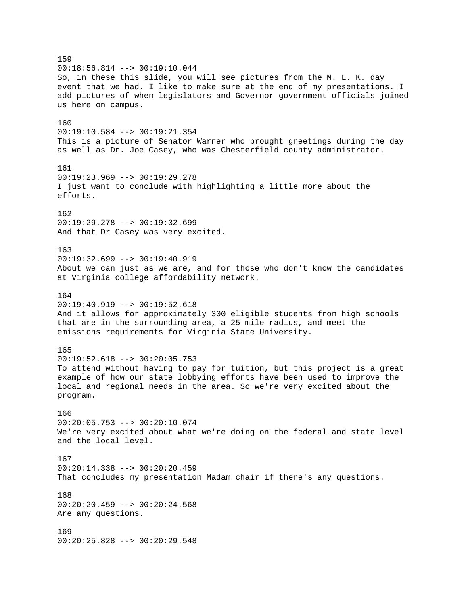159  $00:18:56.814$  -->  $00:19:10.044$ So, in these this slide, you will see pictures from the M. L. K. day event that we had. I like to make sure at the end of my presentations. I add pictures of when legislators and Governor government officials joined us here on campus. 160  $00:19:10.584$  -->  $00:19:21.354$ This is a picture of Senator Warner who brought greetings during the day as well as Dr. Joe Casey, who was Chesterfield county administrator. 161 00:19:23.969 --> 00:19:29.278 I just want to conclude with highlighting a little more about the efforts. 162 00:19:29.278 --> 00:19:32.699 And that Dr Casey was very excited. 163 00:19:32.699 --> 00:19:40.919 About we can just as we are, and for those who don't know the candidates at Virginia college affordability network. 164  $00:19:40.919$  -->  $00:19:52.618$ And it allows for approximately 300 eligible students from high schools that are in the surrounding area, a 25 mile radius, and meet the emissions requirements for Virginia State University. 165  $00:19:52.618$  -->  $00:20:05.753$ To attend without having to pay for tuition, but this project is a great example of how our state lobbying efforts have been used to improve the local and regional needs in the area. So we're very excited about the program. 166 00:20:05.753 --> 00:20:10.074 We're very excited about what we're doing on the federal and state level and the local level. 167 00:20:14.338 --> 00:20:20.459 That concludes my presentation Madam chair if there's any questions. 168  $00:20:20.459$  -->  $00:20:24.568$ Are any questions. 169 00:20:25.828 --> 00:20:29.548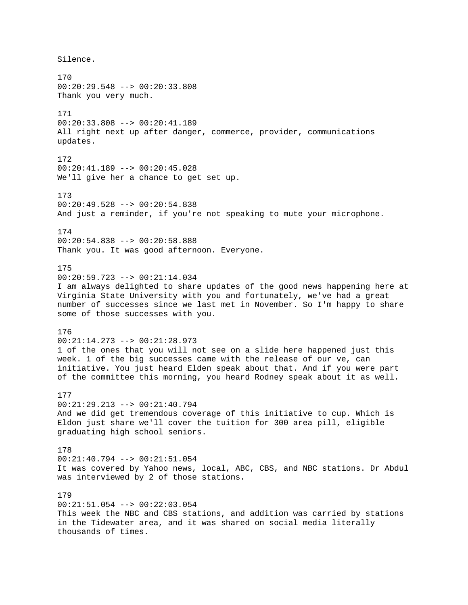Silence. 170 00:20:29.548 --> 00:20:33.808 Thank you very much. 171 00:20:33.808 --> 00:20:41.189 All right next up after danger, commerce, provider, communications updates. 172 00:20:41.189 --> 00:20:45.028 We'll give her a chance to get set up. 173 00:20:49.528 --> 00:20:54.838 And just a reminder, if you're not speaking to mute your microphone. 174 00:20:54.838 --> 00:20:58.888 Thank you. It was good afternoon. Everyone. 175 00:20:59.723 --> 00:21:14.034 I am always delighted to share updates of the good news happening here at Virginia State University with you and fortunately, we've had a great number of successes since we last met in November. So I'm happy to share some of those successes with you. 176 00:21:14.273 --> 00:21:28.973 1 of the ones that you will not see on a slide here happened just this week. 1 of the big successes came with the release of our ve, can initiative. You just heard Elden speak about that. And if you were part of the committee this morning, you heard Rodney speak about it as well. 177 00:21:29.213 --> 00:21:40.794 And we did get tremendous coverage of this initiative to cup. Which is Eldon just share we'll cover the tuition for 300 area pill, eligible graduating high school seniors. 178 00:21:40.794 --> 00:21:51.054 It was covered by Yahoo news, local, ABC, CBS, and NBC stations. Dr Abdul was interviewed by 2 of those stations. 179 00:21:51.054 --> 00:22:03.054 This week the NBC and CBS stations, and addition was carried by stations in the Tidewater area, and it was shared on social media literally thousands of times.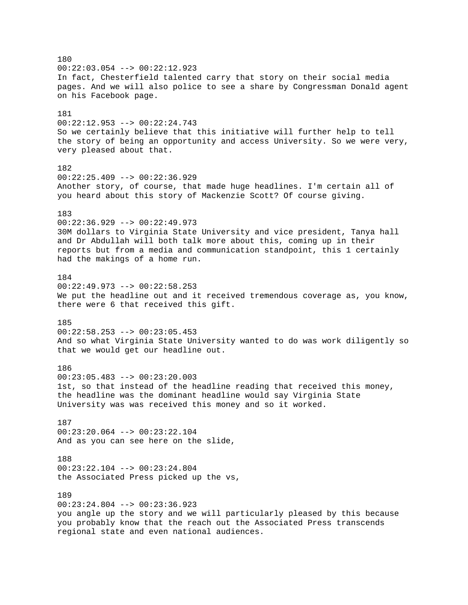180  $00:22:03.054$  -->  $00:22:12.923$ In fact, Chesterfield talented carry that story on their social media pages. And we will also police to see a share by Congressman Donald agent on his Facebook page. 181 00:22:12.953 --> 00:22:24.743 So we certainly believe that this initiative will further help to tell the story of being an opportunity and access University. So we were very, very pleased about that. 182 00:22:25.409 --> 00:22:36.929 Another story, of course, that made huge headlines. I'm certain all of you heard about this story of Mackenzie Scott? Of course giving. 183 00:22:36.929 --> 00:22:49.973 30M dollars to Virginia State University and vice president, Tanya hall and Dr Abdullah will both talk more about this, coming up in their reports but from a media and communication standpoint, this 1 certainly had the makings of a home run. 184 00:22:49.973 --> 00:22:58.253 We put the headline out and it received tremendous coverage as, you know, there were 6 that received this gift. 185 00:22:58.253 --> 00:23:05.453 And so what Virginia State University wanted to do was work diligently so that we would get our headline out. 186  $00:23:05.483$  -->  $00:23:20.003$ 1st, so that instead of the headline reading that received this money, the headline was the dominant headline would say Virginia State University was was received this money and so it worked. 187 00:23:20.064 --> 00:23:22.104 And as you can see here on the slide, 188 00:23:22.104 --> 00:23:24.804 the Associated Press picked up the vs, 189 00:23:24.804 --> 00:23:36.923 you angle up the story and we will particularly pleased by this because you probably know that the reach out the Associated Press transcends regional state and even national audiences.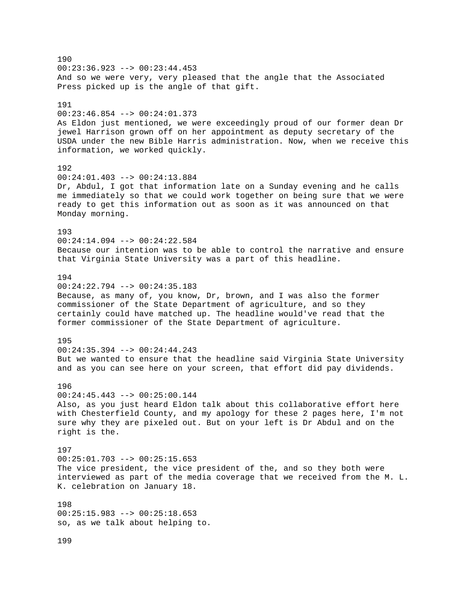190  $00:23:36.923$  -->  $00:23:44.453$ And so we were very, very pleased that the angle that the Associated Press picked up is the angle of that gift. 191 00:23:46.854 --> 00:24:01.373 As Eldon just mentioned, we were exceedingly proud of our former dean Dr jewel Harrison grown off on her appointment as deputy secretary of the USDA under the new Bible Harris administration. Now, when we receive this information, we worked quickly. 192 00:24:01.403 --> 00:24:13.884 Dr, Abdul, I got that information late on a Sunday evening and he calls me immediately so that we could work together on being sure that we were ready to get this information out as soon as it was announced on that Monday morning. 193 00:24:14.094 --> 00:24:22.584 Because our intention was to be able to control the narrative and ensure that Virginia State University was a part of this headline. 194 00:24:22.794 --> 00:24:35.183 Because, as many of, you know, Dr, brown, and I was also the former commissioner of the State Department of agriculture, and so they certainly could have matched up. The headline would've read that the former commissioner of the State Department of agriculture. 195 00:24:35.394 --> 00:24:44.243 But we wanted to ensure that the headline said Virginia State University and as you can see here on your screen, that effort did pay dividends. 196 00:24:45.443 --> 00:25:00.144 Also, as you just heard Eldon talk about this collaborative effort here with Chesterfield County, and my apology for these 2 pages here, I'm not sure why they are pixeled out. But on your left is Dr Abdul and on the right is the. 197  $00:25:01.703$  -->  $00:25:15.653$ The vice president, the vice president of the, and so they both were interviewed as part of the media coverage that we received from the M. L. K. celebration on January 18. 198 00:25:15.983 --> 00:25:18.653 so, as we talk about helping to. 199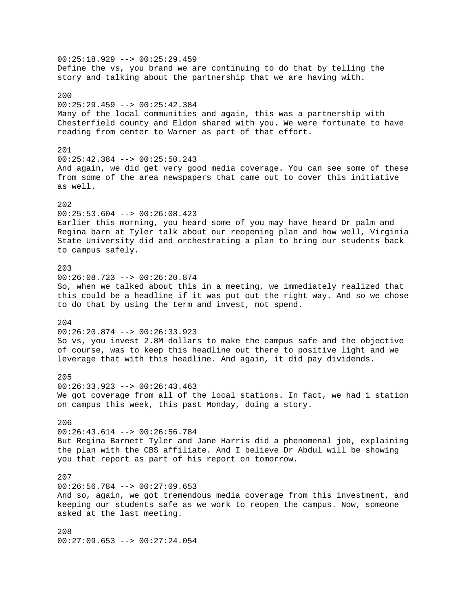00:25:18.929 --> 00:25:29.459 Define the vs, you brand we are continuing to do that by telling the story and talking about the partnership that we are having with. 200 00:25:29.459 --> 00:25:42.384 Many of the local communities and again, this was a partnership with Chesterfield county and Eldon shared with you. We were fortunate to have reading from center to Warner as part of that effort. 201 00:25:42.384 --> 00:25:50.243 And again, we did get very good media coverage. You can see some of these from some of the area newspapers that came out to cover this initiative as well.  $202$  $00:25:53.604$  -->  $00:26:08.423$ Earlier this morning, you heard some of you may have heard Dr palm and Regina barn at Tyler talk about our reopening plan and how well, Virginia State University did and orchestrating a plan to bring our students back to campus safely. 203 00:26:08.723 --> 00:26:20.874 So, when we talked about this in a meeting, we immediately realized that this could be a headline if it was put out the right way. And so we chose to do that by using the term and invest, not spend. 204 00:26:20.874 --> 00:26:33.923 So vs, you invest 2.8M dollars to make the campus safe and the objective of course, was to keep this headline out there to positive light and we leverage that with this headline. And again, it did pay dividends. 205 00:26:33.923 --> 00:26:43.463 We got coverage from all of the local stations. In fact, we had 1 station on campus this week, this past Monday, doing a story. 206 00:26:43.614 --> 00:26:56.784 But Regina Barnett Tyler and Jane Harris did a phenomenal job, explaining the plan with the CBS affiliate. And I believe Dr Abdul will be showing you that report as part of his report on tomorrow. 207  $00:26:56.784$  -->  $00:27:09.653$ And so, again, we got tremendous media coverage from this investment, and keeping our students safe as we work to reopen the campus. Now, someone asked at the last meeting. 208 00:27:09.653 --> 00:27:24.054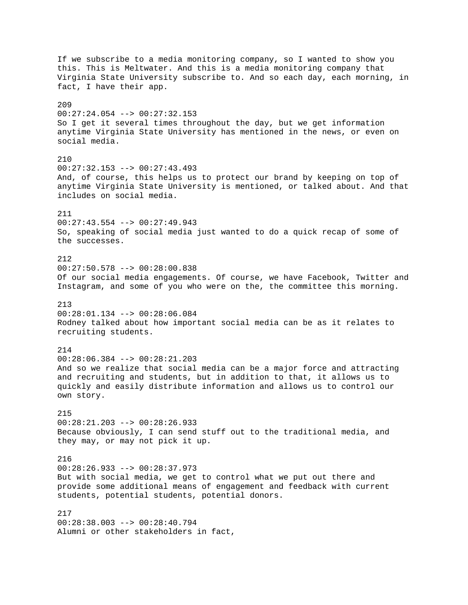If we subscribe to a media monitoring company, so I wanted to show you this. This is Meltwater. And this is a media monitoring company that Virginia State University subscribe to. And so each day, each morning, in fact, I have their app. 209 00:27:24.054 --> 00:27:32.153 So I get it several times throughout the day, but we get information anytime Virginia State University has mentioned in the news, or even on social media.  $210$  $00:27:32.153$  -->  $00:27:43.493$ And, of course, this helps us to protect our brand by keeping on top of anytime Virginia State University is mentioned, or talked about. And that includes on social media. 211 00:27:43.554 --> 00:27:49.943 So, speaking of social media just wanted to do a quick recap of some of the successes. 212 00:27:50.578 --> 00:28:00.838 Of our social media engagements. Of course, we have Facebook, Twitter and Instagram, and some of you who were on the, the committee this morning. 213 00:28:01.134 --> 00:28:06.084 Rodney talked about how important social media can be as it relates to recruiting students. 214  $00:28:06.384$  -->  $00:28:21.203$ And so we realize that social media can be a major force and attracting and recruiting and students, but in addition to that, it allows us to quickly and easily distribute information and allows us to control our own story. 215 00:28:21.203 --> 00:28:26.933 Because obviously, I can send stuff out to the traditional media, and they may, or may not pick it up. 216 00:28:26.933 --> 00:28:37.973 But with social media, we get to control what we put out there and provide some additional means of engagement and feedback with current students, potential students, potential donors. 217 00:28:38.003 --> 00:28:40.794 Alumni or other stakeholders in fact,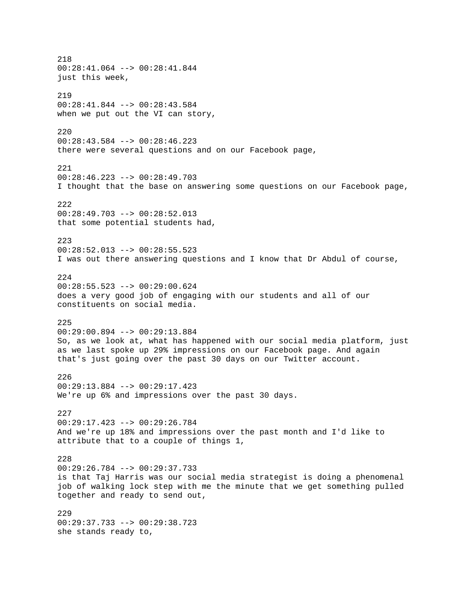218 00:28:41.064 --> 00:28:41.844 just this week, 219 00:28:41.844 --> 00:28:43.584 when we put out the VI can story,  $220$ 00:28:43.584 --> 00:28:46.223 there were several questions and on our Facebook page, 221 00:28:46.223 --> 00:28:49.703 I thought that the base on answering some questions on our Facebook page, 222 00:28:49.703 --> 00:28:52.013 that some potential students had, 223  $00:28:52.013$  -->  $00:28:55.523$ I was out there answering questions and I know that Dr Abdul of course, 224 00:28:55.523 --> 00:29:00.624 does a very good job of engaging with our students and all of our constituents on social media. 225 00:29:00.894 --> 00:29:13.884 So, as we look at, what has happened with our social media platform, just as we last spoke up 29% impressions on our Facebook page. And again that's just going over the past 30 days on our Twitter account. 226 00:29:13.884 --> 00:29:17.423 We're up 6% and impressions over the past 30 days. 227 00:29:17.423 --> 00:29:26.784 And we're up 18% and impressions over the past month and I'd like to attribute that to a couple of things 1, 228 00:29:26.784 --> 00:29:37.733 is that Taj Harris was our social media strategist is doing a phenomenal job of walking lock step with me the minute that we get something pulled together and ready to send out, 229 00:29:37.733 --> 00:29:38.723 she stands ready to,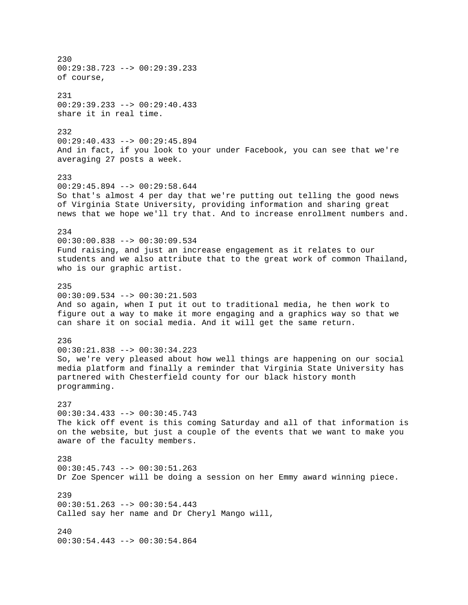230 00:29:38.723 --> 00:29:39.233 of course, 231 00:29:39.233 --> 00:29:40.433 share it in real time. 232 00:29:40.433 --> 00:29:45.894 And in fact, if you look to your under Facebook, you can see that we're averaging 27 posts a week. 233  $00:29:45.894$  -->  $00:29:58.644$ So that's almost 4 per day that we're putting out telling the good news of Virginia State University, providing information and sharing great news that we hope we'll try that. And to increase enrollment numbers and. 234 00:30:00.838 --> 00:30:09.534 Fund raising, and just an increase engagement as it relates to our students and we also attribute that to the great work of common Thailand, who is our graphic artist. 235  $00:30:09.534$  -->  $00:30:21.503$ And so again, when I put it out to traditional media, he then work to figure out a way to make it more engaging and a graphics way so that we can share it on social media. And it will get the same return. 236 00:30:21.838 --> 00:30:34.223 So, we're very pleased about how well things are happening on our social media platform and finally a reminder that Virginia State University has partnered with Chesterfield county for our black history month programming. 237  $00:30:34.433$  -->  $00:30:45.743$ The kick off event is this coming Saturday and all of that information is on the website, but just a couple of the events that we want to make you aware of the faculty members. 238 00:30:45.743 --> 00:30:51.263 Dr Zoe Spencer will be doing a session on her Emmy award winning piece. 239 00:30:51.263 --> 00:30:54.443 Called say her name and Dr Cheryl Mango will, 240 00:30:54.443 --> 00:30:54.864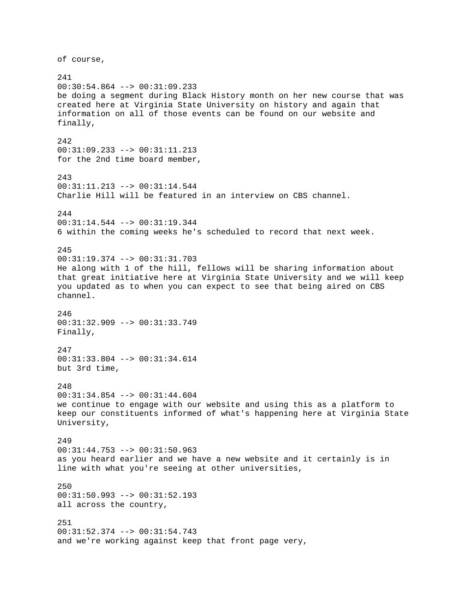of course, 241 00:30:54.864 --> 00:31:09.233 be doing a segment during Black History month on her new course that was created here at Virginia State University on history and again that information on all of those events can be found on our website and finally, 242 00:31:09.233 --> 00:31:11.213 for the 2nd time board member, 243 00:31:11.213 --> 00:31:14.544 Charlie Hill will be featured in an interview on CBS channel. 244 00:31:14.544 --> 00:31:19.344 6 within the coming weeks he's scheduled to record that next week. 245 00:31:19.374 --> 00:31:31.703 He along with 1 of the hill, fellows will be sharing information about that great initiative here at Virginia State University and we will keep you updated as to when you can expect to see that being aired on CBS channel. 246 00:31:32.909 --> 00:31:33.749 Finally, 247 00:31:33.804 --> 00:31:34.614 but 3rd time, 248 00:31:34.854 --> 00:31:44.604 we continue to engage with our website and using this as a platform to keep our constituents informed of what's happening here at Virginia State University, 249 00:31:44.753 --> 00:31:50.963 as you heard earlier and we have a new website and it certainly is in line with what you're seeing at other universities, 250 00:31:50.993 --> 00:31:52.193 all across the country, 251 00:31:52.374 --> 00:31:54.743 and we're working against keep that front page very,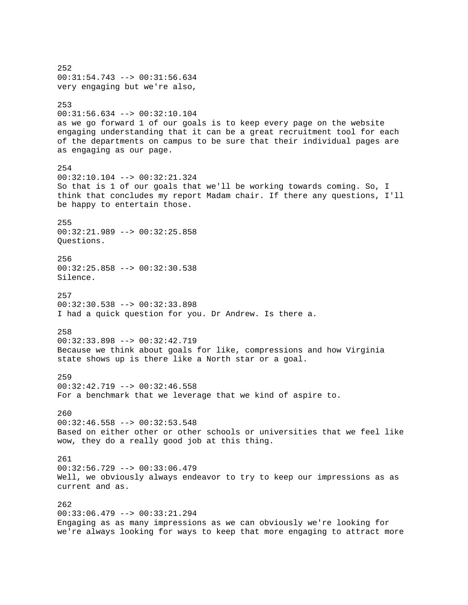252 00:31:54.743 --> 00:31:56.634 very engaging but we're also, 253 00:31:56.634 --> 00:32:10.104 as we go forward 1 of our goals is to keep every page on the website engaging understanding that it can be a great recruitment tool for each of the departments on campus to be sure that their individual pages are as engaging as our page. 254 00:32:10.104 --> 00:32:21.324 So that is 1 of our goals that we'll be working towards coming. So, I think that concludes my report Madam chair. If there any questions, I'll be happy to entertain those. 255 00:32:21.989 --> 00:32:25.858 Questions. 256 00:32:25.858 --> 00:32:30.538 Silence. 257 00:32:30.538 --> 00:32:33.898 I had a quick question for you. Dr Andrew. Is there a. 258 00:32:33.898 --> 00:32:42.719 Because we think about goals for like, compressions and how Virginia state shows up is there like a North star or a goal. 259 00:32:42.719 --> 00:32:46.558 For a benchmark that we leverage that we kind of aspire to. 260 00:32:46.558 --> 00:32:53.548 Based on either other or other schools or universities that we feel like wow, they do a really good job at this thing. 261 00:32:56.729 --> 00:33:06.479 Well, we obviously always endeavor to try to keep our impressions as as current and as. 262 00:33:06.479 --> 00:33:21.294 Engaging as as many impressions as we can obviously we're looking for we're always looking for ways to keep that more engaging to attract more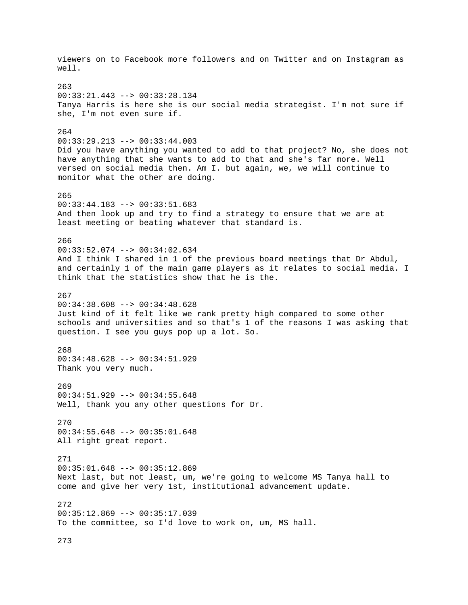viewers on to Facebook more followers and on Twitter and on Instagram as well. 263 00:33:21.443 --> 00:33:28.134 Tanya Harris is here she is our social media strategist. I'm not sure if she, I'm not even sure if. 264 00:33:29.213 --> 00:33:44.003 Did you have anything you wanted to add to that project? No, she does not have anything that she wants to add to that and she's far more. Well versed on social media then. Am I. but again, we, we will continue to monitor what the other are doing. 265 00:33:44.183 --> 00:33:51.683 And then look up and try to find a strategy to ensure that we are at least meeting or beating whatever that standard is. 266 00:33:52.074 --> 00:34:02.634 And I think I shared in 1 of the previous board meetings that Dr Abdul, and certainly 1 of the main game players as it relates to social media. I think that the statistics show that he is the. 267 00:34:38.608 --> 00:34:48.628 Just kind of it felt like we rank pretty high compared to some other schools and universities and so that's 1 of the reasons I was asking that question. I see you guys pop up a lot. So. 268 00:34:48.628 --> 00:34:51.929 Thank you very much. 269 00:34:51.929 --> 00:34:55.648 Well, thank you any other questions for Dr. 270 00:34:55.648 --> 00:35:01.648 All right great report. 271 00:35:01.648 --> 00:35:12.869 Next last, but not least, um, we're going to welcome MS Tanya hall to come and give her very 1st, institutional advancement update. 272 00:35:12.869 --> 00:35:17.039 To the committee, so I'd love to work on, um, MS hall.

273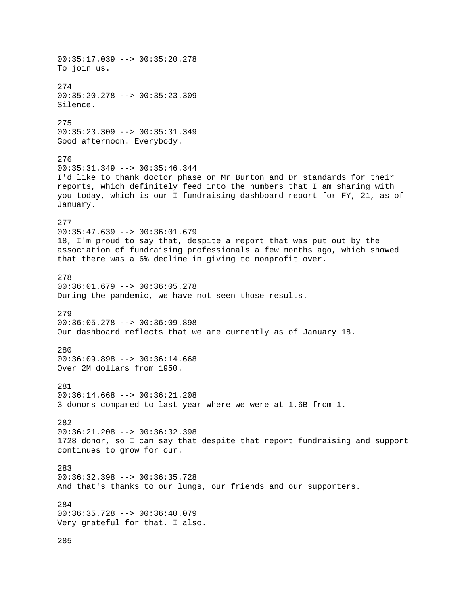00:35:17.039 --> 00:35:20.278 To join us. 274 00:35:20.278 --> 00:35:23.309 Silence. 275 00:35:23.309 --> 00:35:31.349 Good afternoon. Everybody. 276  $00:35:31.349$  -->  $00:35:46.344$ I'd like to thank doctor phase on Mr Burton and Dr standards for their reports, which definitely feed into the numbers that I am sharing with you today, which is our I fundraising dashboard report for FY, 21, as of January. 277  $00:35:47.639$  -->  $00:36:01.679$ 18, I'm proud to say that, despite a report that was put out by the association of fundraising professionals a few months ago, which showed that there was a 6% decline in giving to nonprofit over. 278 00:36:01.679 --> 00:36:05.278 During the pandemic, we have not seen those results. 279 00:36:05.278 --> 00:36:09.898 Our dashboard reflects that we are currently as of January 18. 280 00:36:09.898 --> 00:36:14.668 Over 2M dollars from 1950. 281 00:36:14.668 --> 00:36:21.208 3 donors compared to last year where we were at 1.6B from 1. 282 00:36:21.208 --> 00:36:32.398 1728 donor, so I can say that despite that report fundraising and support continues to grow for our. 283 00:36:32.398 --> 00:36:35.728 And that's thanks to our lungs, our friends and our supporters. 284 00:36:35.728 --> 00:36:40.079 Very grateful for that. I also. 285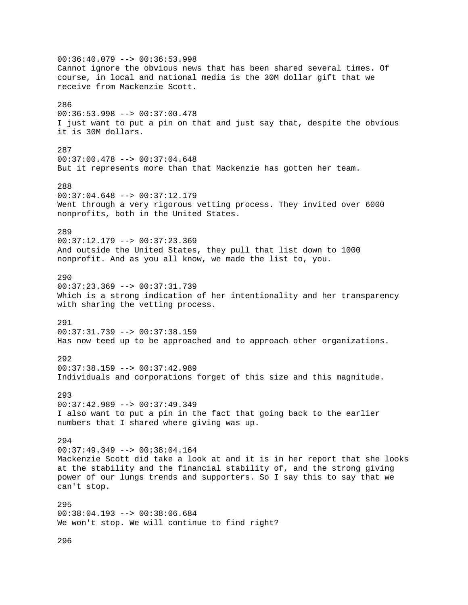00:36:40.079 --> 00:36:53.998 Cannot ignore the obvious news that has been shared several times. Of course, in local and national media is the 30M dollar gift that we receive from Mackenzie Scott. 286 00:36:53.998 --> 00:37:00.478 I just want to put a pin on that and just say that, despite the obvious it is 30M dollars. 287 00:37:00.478 --> 00:37:04.648 But it represents more than that Mackenzie has gotten her team. 288  $00:37:04.648$  -->  $00:37:12.179$ Went through a very rigorous vetting process. They invited over 6000 nonprofits, both in the United States. 289 00:37:12.179 --> 00:37:23.369 And outside the United States, they pull that list down to 1000 nonprofit. And as you all know, we made the list to, you. 290 00:37:23.369 --> 00:37:31.739 Which is a strong indication of her intentionality and her transparency with sharing the vetting process. 291 00:37:31.739 --> 00:37:38.159 Has now teed up to be approached and to approach other organizations. 292 00:37:38.159 --> 00:37:42.989 Individuals and corporations forget of this size and this magnitude. 293 00:37:42.989 --> 00:37:49.349 I also want to put a pin in the fact that going back to the earlier numbers that I shared where giving was up. 294 00:37:49.349 --> 00:38:04.164 Mackenzie Scott did take a look at and it is in her report that she looks at the stability and the financial stability of, and the strong giving power of our lungs trends and supporters. So I say this to say that we can't stop. 295 00:38:04.193 --> 00:38:06.684 We won't stop. We will continue to find right?

296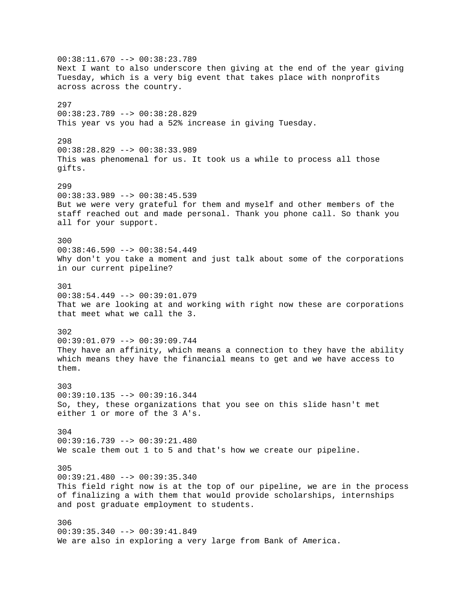00:38:11.670 --> 00:38:23.789 Next I want to also underscore then giving at the end of the year giving Tuesday, which is a very big event that takes place with nonprofits across across the country. 297 00:38:23.789 --> 00:38:28.829 This year vs you had a 52% increase in giving Tuesday. 298 00:38:28.829 --> 00:38:33.989 This was phenomenal for us. It took us a while to process all those gifts. 299 00:38:33.989 --> 00:38:45.539 But we were very grateful for them and myself and other members of the staff reached out and made personal. Thank you phone call. So thank you all for your support. 300  $00:38:46.590$  -->  $00:38:54.449$ Why don't you take a moment and just talk about some of the corporations in our current pipeline? 301 00:38:54.449 --> 00:39:01.079 That we are looking at and working with right now these are corporations that meet what we call the 3. 302 00:39:01.079 --> 00:39:09.744 They have an affinity, which means a connection to they have the ability which means they have the financial means to get and we have access to them. 303 00:39:10.135 --> 00:39:16.344 So, they, these organizations that you see on this slide hasn't met either 1 or more of the 3 A's. 304 00:39:16.739 --> 00:39:21.480 We scale them out 1 to 5 and that's how we create our pipeline. 305 00:39:21.480 --> 00:39:35.340 This field right now is at the top of our pipeline, we are in the process of finalizing a with them that would provide scholarships, internships and post graduate employment to students. 306 00:39:35.340 --> 00:39:41.849 We are also in exploring a very large from Bank of America.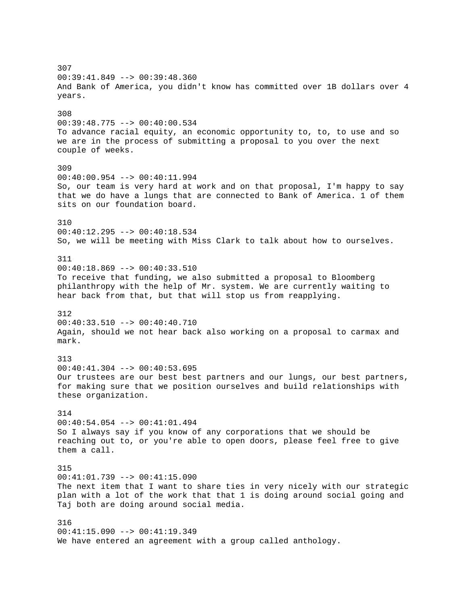307 00:39:41.849 --> 00:39:48.360 And Bank of America, you didn't know has committed over 1B dollars over 4 years. 308 00:39:48.775 --> 00:40:00.534 To advance racial equity, an economic opportunity to, to, to use and so we are in the process of submitting a proposal to you over the next couple of weeks. 309 00:40:00.954 --> 00:40:11.994 So, our team is very hard at work and on that proposal, I'm happy to say that we do have a lungs that are connected to Bank of America. 1 of them sits on our foundation board. 310 00:40:12.295 --> 00:40:18.534 So, we will be meeting with Miss Clark to talk about how to ourselves. 311 00:40:18.869 --> 00:40:33.510 To receive that funding, we also submitted a proposal to Bloomberg philanthropy with the help of Mr. system. We are currently waiting to hear back from that, but that will stop us from reapplying. 312 00:40:33.510 --> 00:40:40.710 Again, should we not hear back also working on a proposal to carmax and mark. 313 00:40:41.304 --> 00:40:53.695 Our trustees are our best best partners and our lungs, our best partners, for making sure that we position ourselves and build relationships with these organization. 314 00:40:54.054 --> 00:41:01.494 So I always say if you know of any corporations that we should be reaching out to, or you're able to open doors, please feel free to give them a call. 315 00:41:01.739 --> 00:41:15.090 The next item that I want to share ties in very nicely with our strategic plan with a lot of the work that that 1 is doing around social going and Taj both are doing around social media. 316 00:41:15.090 --> 00:41:19.349 We have entered an agreement with a group called anthology.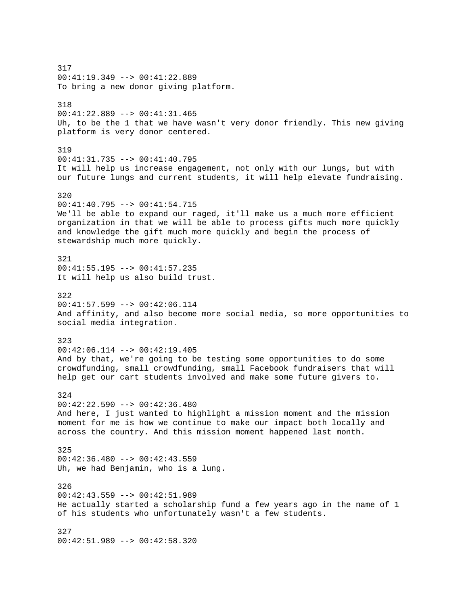317 00:41:19.349 --> 00:41:22.889 To bring a new donor giving platform. 318 00:41:22.889 --> 00:41:31.465 Uh, to be the 1 that we have wasn't very donor friendly. This new giving platform is very donor centered. 319 00:41:31.735 --> 00:41:40.795 It will help us increase engagement, not only with our lungs, but with our future lungs and current students, it will help elevate fundraising. 320 00:41:40.795 --> 00:41:54.715 We'll be able to expand our raged, it'll make us a much more efficient organization in that we will be able to process gifts much more quickly and knowledge the gift much more quickly and begin the process of stewardship much more quickly. 321 00:41:55.195 --> 00:41:57.235 It will help us also build trust. 322  $00:41:57.599$  -->  $00:42:06.114$ And affinity, and also become more social media, so more opportunities to social media integration. 323 00:42:06.114 --> 00:42:19.405 And by that, we're going to be testing some opportunities to do some crowdfunding, small crowdfunding, small Facebook fundraisers that will help get our cart students involved and make some future givers to. 324 00:42:22.590 --> 00:42:36.480 And here, I just wanted to highlight a mission moment and the mission moment for me is how we continue to make our impact both locally and across the country. And this mission moment happened last month. 325  $00:42:36.480$  -->  $00:42:43.559$ Uh, we had Benjamin, who is a lung. 326 00:42:43.559 --> 00:42:51.989 He actually started a scholarship fund a few years ago in the name of 1 of his students who unfortunately wasn't a few students. 327 00:42:51.989 --> 00:42:58.320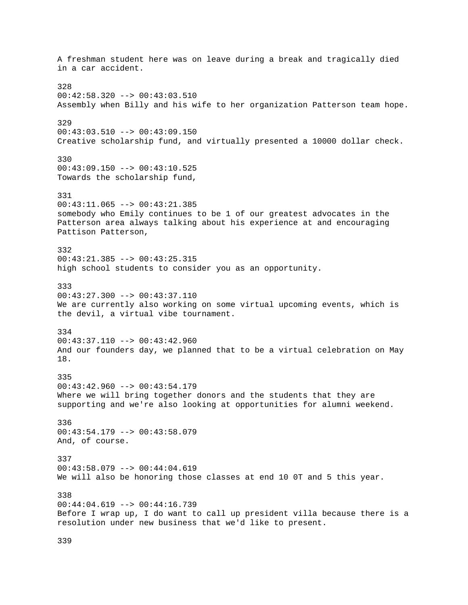A freshman student here was on leave during a break and tragically died in a car accident. 328 00:42:58.320 --> 00:43:03.510 Assembly when Billy and his wife to her organization Patterson team hope. 329 00:43:03.510 --> 00:43:09.150 Creative scholarship fund, and virtually presented a 10000 dollar check. 330 00:43:09.150 --> 00:43:10.525 Towards the scholarship fund, 331 00:43:11.065 --> 00:43:21.385 somebody who Emily continues to be 1 of our greatest advocates in the Patterson area always talking about his experience at and encouraging Pattison Patterson, 332 00:43:21.385 --> 00:43:25.315 high school students to consider you as an opportunity. 333  $00:43:27.300$  -->  $00:43:37.110$ We are currently also working on some virtual upcoming events, which is the devil, a virtual vibe tournament. 334 00:43:37.110 --> 00:43:42.960 And our founders day, we planned that to be a virtual celebration on May 18. 335 00:43:42.960 --> 00:43:54.179 Where we will bring together donors and the students that they are supporting and we're also looking at opportunities for alumni weekend. 336 00:43:54.179 --> 00:43:58.079 And, of course. 337 00:43:58.079 --> 00:44:04.619 We will also be honoring those classes at end 10 0T and 5 this year. 338 00:44:04.619 --> 00:44:16.739 Before I wrap up, I do want to call up president villa because there is a resolution under new business that we'd like to present.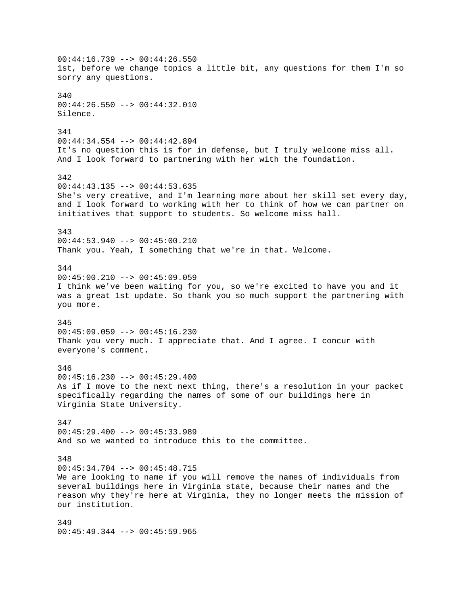00:44:16.739 --> 00:44:26.550 1st, before we change topics a little bit, any questions for them I'm so sorry any questions. 340 00:44:26.550 --> 00:44:32.010 Silence. 341 00:44:34.554 --> 00:44:42.894 It's no question this is for in defense, but I truly welcome miss all. And I look forward to partnering with her with the foundation. 342  $00:44:43.135$  -->  $00:44:53.635$ She's very creative, and I'm learning more about her skill set every day, and I look forward to working with her to think of how we can partner on initiatives that support to students. So welcome miss hall. 343 00:44:53.940 --> 00:45:00.210 Thank you. Yeah, I something that we're in that. Welcome. 344 00:45:00.210 --> 00:45:09.059 I think we've been waiting for you, so we're excited to have you and it was a great 1st update. So thank you so much support the partnering with you more. 345 00:45:09.059 --> 00:45:16.230 Thank you very much. I appreciate that. And I agree. I concur with everyone's comment. 346  $00:45:16.230$  -->  $00:45:29.400$ As if I move to the next next thing, there's a resolution in your packet specifically regarding the names of some of our buildings here in Virginia State University. 347  $00:45:29.400$  -->  $00:45:33.989$ And so we wanted to introduce this to the committee. 348 00:45:34.704 --> 00:45:48.715 We are looking to name if you will remove the names of individuals from several buildings here in Virginia state, because their names and the reason why they're here at Virginia, they no longer meets the mission of our institution. 349

00:45:49.344 --> 00:45:59.965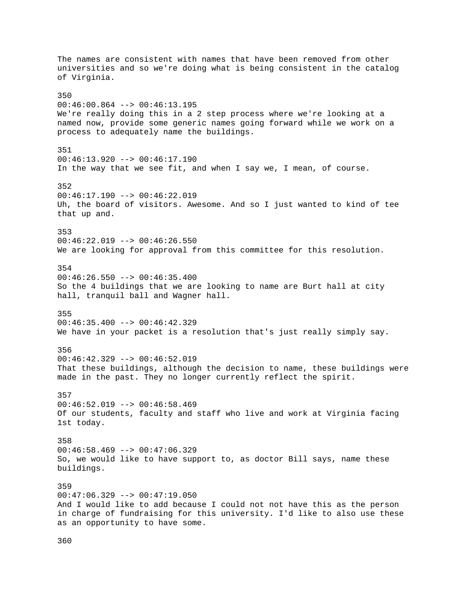The names are consistent with names that have been removed from other universities and so we're doing what is being consistent in the catalog of Virginia. 350  $00:46:00.864$  -->  $00:46:13.195$ We're really doing this in a 2 step process where we're looking at a named now, provide some generic names going forward while we work on a process to adequately name the buildings. 351 00:46:13.920 --> 00:46:17.190 In the way that we see fit, and when I say we, I mean, of course. 352  $00:46:17.190$  -->  $00:46:22.019$ Uh, the board of visitors. Awesome. And so I just wanted to kind of tee that up and. 353 00:46:22.019 --> 00:46:26.550 We are looking for approval from this committee for this resolution. 354 00:46:26.550 --> 00:46:35.400 So the 4 buildings that we are looking to name are Burt hall at city hall, tranquil ball and Wagner hall. 355 00:46:35.400 --> 00:46:42.329 We have in your packet is a resolution that's just really simply say. 356 00:46:42.329 --> 00:46:52.019 That these buildings, although the decision to name, these buildings were made in the past. They no longer currently reflect the spirit. 357  $00:46:52.019$  -->  $00:46:58.469$ Of our students, faculty and staff who live and work at Virginia facing 1st today. 358 00:46:58.469 --> 00:47:06.329 So, we would like to have support to, as doctor Bill says, name these buildings. 359  $00:47:06.329$  -->  $00:47:19.050$ And I would like to add because I could not not have this as the person in charge of fundraising for this university. I'd like to also use these as an opportunity to have some.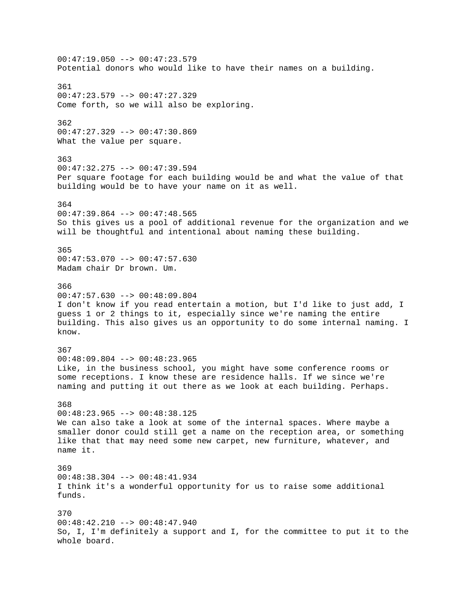$00:47:19.050$  -->  $00:47:23.579$ Potential donors who would like to have their names on a building. 361 00:47:23.579 --> 00:47:27.329 Come forth, so we will also be exploring. 362 00:47:27.329 --> 00:47:30.869 What the value per square. 363  $00:47:32.275$  -->  $00:47:39.594$ Per square footage for each building would be and what the value of that building would be to have your name on it as well. 364  $00:47:39.864$  -->  $00:47:48.565$ So this gives us a pool of additional revenue for the organization and we will be thoughtful and intentional about naming these building. 365 00:47:53.070 --> 00:47:57.630 Madam chair Dr brown. Um. 366  $00:47:57.630$  -->  $00:48:09.804$ I don't know if you read entertain a motion, but I'd like to just add, I guess 1 or 2 things to it, especially since we're naming the entire building. This also gives us an opportunity to do some internal naming. I know. 367  $00:48:09.804$  -->  $00:48:23.965$ Like, in the business school, you might have some conference rooms or some receptions. I know these are residence halls. If we since we're naming and putting it out there as we look at each building. Perhaps. 368  $00:48:23.965$  -->  $00:48:38.125$ We can also take a look at some of the internal spaces. Where maybe a smaller donor could still get a name on the reception area, or something like that that may need some new carpet, new furniture, whatever, and name it. 369 00:48:38.304 --> 00:48:41.934 I think it's a wonderful opportunity for us to raise some additional funds. 370  $00:48:42.210$  -->  $00:48:47.940$ So, I, I'm definitely a support and I, for the committee to put it to the whole board.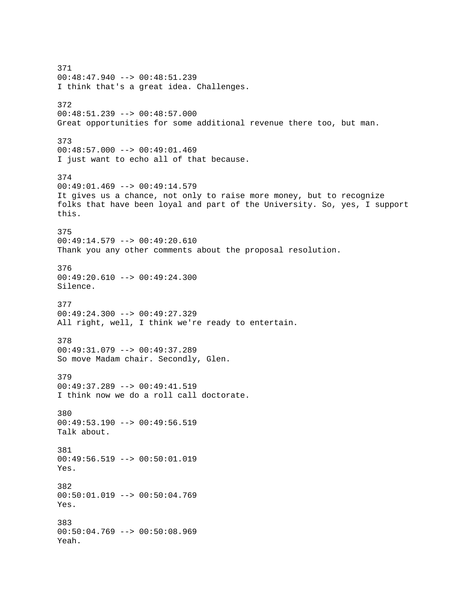371 00:48:47.940 --> 00:48:51.239 I think that's a great idea. Challenges. 372 00:48:51.239 --> 00:48:57.000 Great opportunities for some additional revenue there too, but man. 373 00:48:57.000 --> 00:49:01.469 I just want to echo all of that because. 374 00:49:01.469 --> 00:49:14.579 It gives us a chance, not only to raise more money, but to recognize folks that have been loyal and part of the University. So, yes, I support this. 375 00:49:14.579 --> 00:49:20.610 Thank you any other comments about the proposal resolution. 376 00:49:20.610 --> 00:49:24.300 Silence. 377 00:49:24.300 --> 00:49:27.329 All right, well, I think we're ready to entertain. 378 00:49:31.079 --> 00:49:37.289 So move Madam chair. Secondly, Glen. 379 00:49:37.289 --> 00:49:41.519 I think now we do a roll call doctorate. 380 00:49:53.190 --> 00:49:56.519 Talk about. 381 00:49:56.519 --> 00:50:01.019 Yes. 382 00:50:01.019 --> 00:50:04.769 Yes. 383 00:50:04.769 --> 00:50:08.969 Yeah.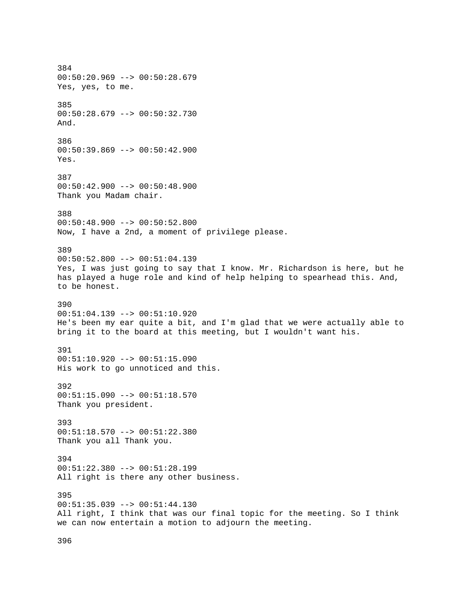384 00:50:20.969 --> 00:50:28.679 Yes, yes, to me. 385 00:50:28.679 --> 00:50:32.730 And. 386 00:50:39.869 --> 00:50:42.900 Yes. 387 00:50:42.900 --> 00:50:48.900 Thank you Madam chair. 388 00:50:48.900 --> 00:50:52.800 Now, I have a 2nd, a moment of privilege please. 389 00:50:52.800 --> 00:51:04.139 Yes, I was just going to say that I know. Mr. Richardson is here, but he has played a huge role and kind of help helping to spearhead this. And, to be honest. 390 00:51:04.139 --> 00:51:10.920 He's been my ear quite a bit, and I'm glad that we were actually able to bring it to the board at this meeting, but I wouldn't want his. 391  $00:51:10.920$  -->  $00:51:15.090$ His work to go unnoticed and this. 392 00:51:15.090 --> 00:51:18.570 Thank you president. 393 00:51:18.570 --> 00:51:22.380 Thank you all Thank you. 394 00:51:22.380 --> 00:51:28.199 All right is there any other business. 395 00:51:35.039 --> 00:51:44.130 All right, I think that was our final topic for the meeting. So I think we can now entertain a motion to adjourn the meeting.